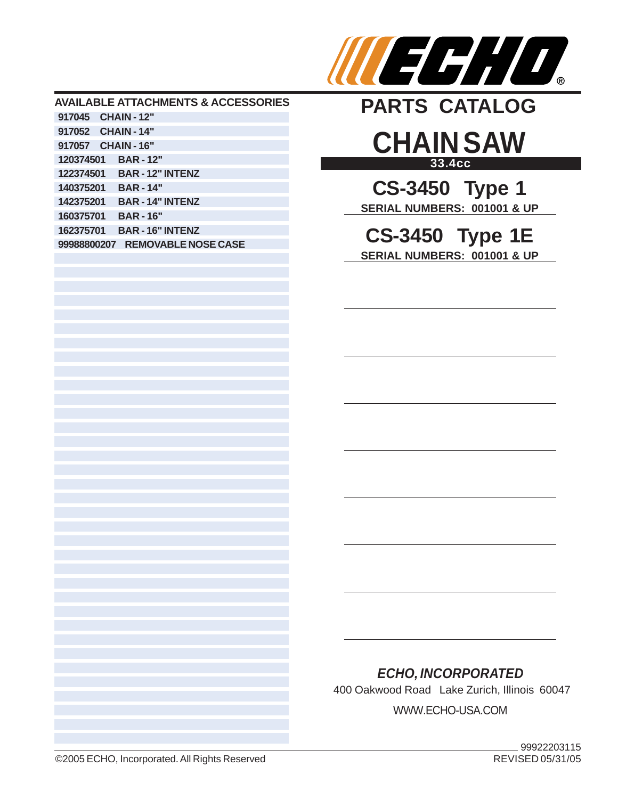

#### **AVAILABLE ATTACHMENTS & ACCESSORIES 917045 CHAIN - 12" 917052 CHAIN - 14" 917057 CHAIN - 16" 120374501 BAR - 12" 122374501 BAR - 12" INTENZ 140375201 BAR - 14" 142375201 BAR - 14" INTENZ 160375701 BAR - 16" 162375701 BAR - 16" INTENZ 99988800207 REMOVABLE NOSE CASE**



# **33.4cc CHAIN SAW**

**CS-3450 Type 1 SERIAL NUMBERS: 001001 & UP**

### **CS-3450 Type 1E SERIAL NUMBERS: 001001 & UP**

### *ECHO, INCORPORATED*

400 Oakwood Road Lake Zurich, Illinois 60047

WWW.ECHO-USA.COM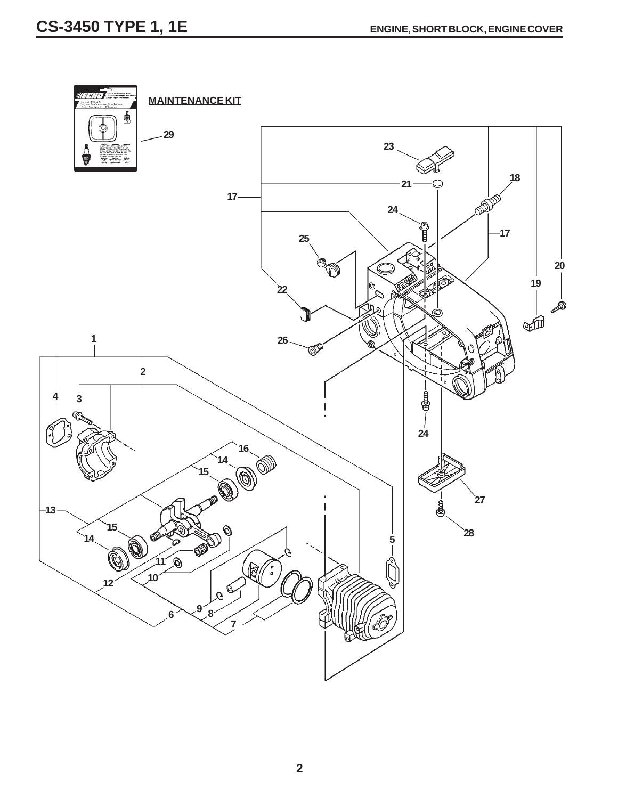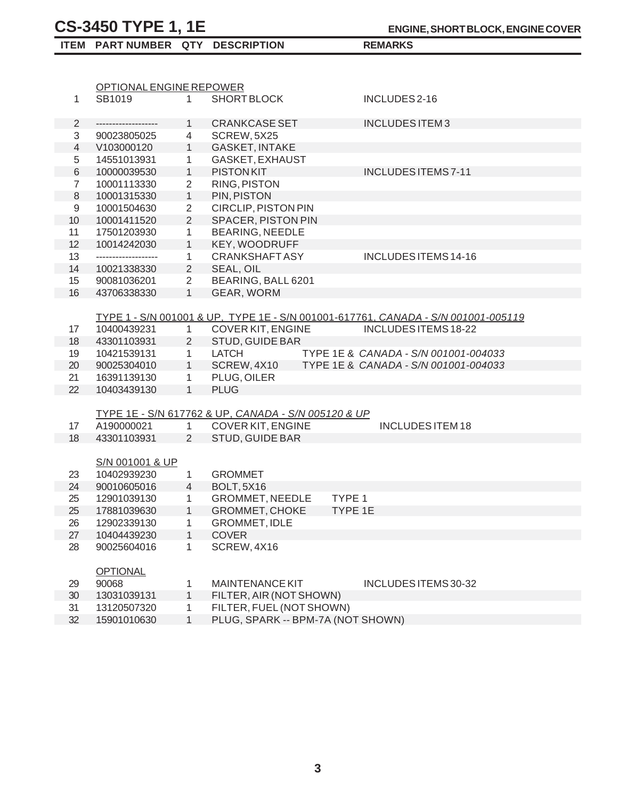|                | OPTIONAL ENGINE REPOWER   |                |                                                     |                                                                                   |
|----------------|---------------------------|----------------|-----------------------------------------------------|-----------------------------------------------------------------------------------|
| $\mathbf{1}$   | SB1019                    | $\mathbf{1}$   | <b>SHORT BLOCK</b>                                  | INCLUDES 2-16                                                                     |
| 2              | -------------------       | 1              | <b>CRANKCASE SET</b>                                | <b>INCLUDES ITEM3</b>                                                             |
| 3              |                           | $\overline{4}$ | SCREW, 5X25                                         |                                                                                   |
| $\overline{4}$ | 90023805025<br>V103000120 | 1              | <b>GASKET, INTAKE</b>                               |                                                                                   |
| 5              | 14551013931               | $\mathbf{1}$   | GASKET, EXHAUST                                     |                                                                                   |
| $\,$ 6 $\,$    | 10000039530               | 1              | <b>PISTON KIT</b>                                   | <b>INCLUDES ITEMS 7-11</b>                                                        |
| $\overline{7}$ | 10001113330               | $\overline{2}$ | <b>RING, PISTON</b>                                 |                                                                                   |
| 8              | 10001315330               | 1              | PIN, PISTON                                         |                                                                                   |
| 9              | 10001504630               | $\overline{2}$ | CIRCLIP, PISTON PIN                                 |                                                                                   |
| 10             | 10001411520               | $\overline{2}$ | <b>SPACER, PISTON PIN</b>                           |                                                                                   |
| 11             | 17501203930               | $\mathbf{1}$   | <b>BEARING, NEEDLE</b>                              |                                                                                   |
| 12             | 10014242030               | 1              | KEY, WOODRUFF                                       |                                                                                   |
| 13             | -------------------       | $\mathbf{1}$   | <b>CRANKSHAFTASY</b>                                | INCLUDES ITEMS 14-16                                                              |
| 14             | 10021338330               | $\overline{2}$ | SEAL, OIL                                           |                                                                                   |
| 15             | 90081036201               | $\overline{2}$ | BEARING, BALL 6201                                  |                                                                                   |
| 16             | 43706338330               | 1              | GEAR, WORM                                          |                                                                                   |
|                |                           |                |                                                     |                                                                                   |
|                |                           |                |                                                     | TYPE 1 - S/N 001001 & UP, TYPE 1E - S/N 001001-617761, CANADA - S/N 001001-005119 |
| 17             | 10400439231               | $\mathbf{1}$   | COVER KIT, ENGINE                                   | INCLUDES ITEMS 18-22                                                              |
| 18             | 43301103931               | $\overline{2}$ | STUD, GUIDE BAR                                     |                                                                                   |
| 19             | 10421539131               | $\mathbf{1}$   | <b>LATCH</b>                                        | TYPE 1E & CANADA - S/N 001001-004033                                              |
| 20             | 90025304010               | 1              | SCREW, 4X10                                         | TYPE 1E & CANADA - S/N 001001-004033                                              |
| 21             | 16391139130               | $\mathbf{1}$   | PLUG, OILER                                         |                                                                                   |
| 22             | 10403439130               | 1              | <b>PLUG</b>                                         |                                                                                   |
|                |                           |                |                                                     |                                                                                   |
|                |                           |                | TYPE 1E - S/N 617762 & UP, CANADA - S/N 005120 & UP |                                                                                   |
| 17             | A190000021                | $\mathbf{1}$   | COVER KIT, ENGINE                                   | <b>INCLUDES ITEM 18</b>                                                           |
| 18             | 43301103931               | $\overline{2}$ | STUD, GUIDE BAR                                     |                                                                                   |
|                |                           |                |                                                     |                                                                                   |
|                | S/N 001001 & UP           |                |                                                     |                                                                                   |
| 23             | 10402939230               | $\mathbf{1}$   | <b>GROMMET</b>                                      |                                                                                   |
| 24             | 90010605016               | $\overline{4}$ | <b>BOLT, 5X16</b>                                   |                                                                                   |
| 25             | 12901039130               | $\mathbf{1}$   | <b>GROMMET, NEEDLE</b>                              | TYPE <sub>1</sub>                                                                 |
| 25             | 17881039630               | 1              | <b>GROMMET, CHOKE</b>                               | <b>TYPE 1E</b>                                                                    |
| 26             | 12902339130               | 1              | <b>GROMMET, IDLE</b>                                |                                                                                   |
| 27             | 10404439230               | 1              | <b>COVER</b>                                        |                                                                                   |
| 28             | 90025604016               | 1              | SCREW, 4X16                                         |                                                                                   |
|                |                           |                |                                                     |                                                                                   |
|                | <b>OPTIONAL</b>           |                |                                                     |                                                                                   |
| 29             | 90068                     | 1              | <b>MAINTENANCE KIT</b>                              | INCLUDES ITEMS 30-32                                                              |
| 30             | 13031039131               | 1              | FILTER, AIR (NOT SHOWN)                             |                                                                                   |
| 31             | 13120507320               | 1              | FILTER, FUEL (NOT SHOWN)                            |                                                                                   |

32 15901010630 1 PLUG, SPARK -- BPM-7A (NOT SHOWN)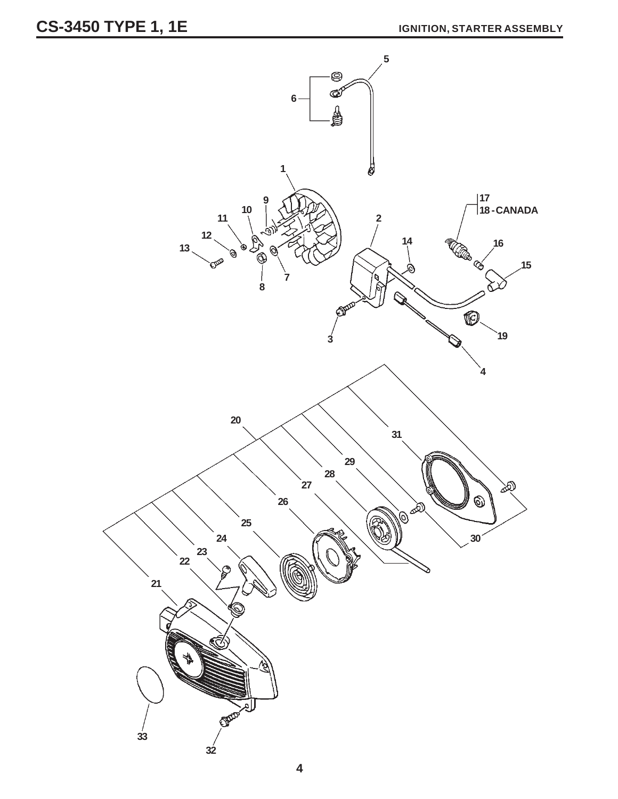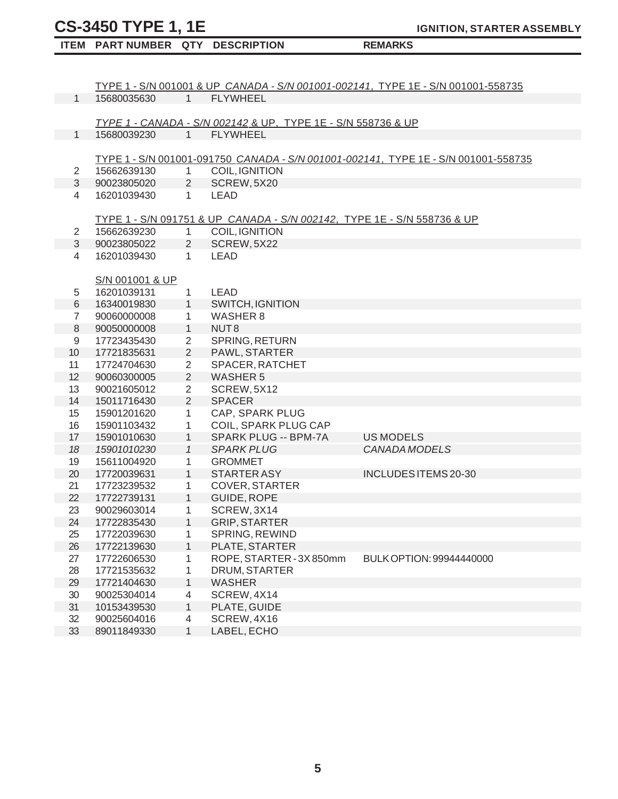# **CS-3450 TYPE 1, 1E**

33 89011849330 1 LABEL, ECHO

 **ITEM PART NUMBER QTY DESCRIPTION REMARKS**

**IGNITION, STARTER ASSEMBLY**

|                |                 |                |                                                                         | TYPE 1 - S/N 001001 & UP CANADA - S/N 001001-002141, TYPE 1E - S/N 001001-558735   |
|----------------|-----------------|----------------|-------------------------------------------------------------------------|------------------------------------------------------------------------------------|
| $\mathbf{1}$   | 15680035630     | $1 \quad$      | <b>FLYWHEEL</b>                                                         |                                                                                    |
|                |                 |                |                                                                         |                                                                                    |
|                |                 |                | TYPE 1 - CANADA - S/N 002142 & UP, TYPE 1E - S/N 558736 & UP            |                                                                                    |
| $\mathbf{1}$   | 15680039230     | $1 \quad$      | <b>FLYWHEEL</b>                                                         |                                                                                    |
|                |                 |                |                                                                         |                                                                                    |
| 2              | 15662639130     | 1              | COIL, IGNITION                                                          | TYPE 1 - S/N 001001-091750 CANADA - S/N 001001-002141, TYPE 1E - S/N 001001-558735 |
| $\mathbf{3}$   | 90023805020     | $2^{\circ}$    | SCREW, 5X20                                                             |                                                                                    |
| 4              | 16201039430     | $\mathbf{1}$   | <b>LEAD</b>                                                             |                                                                                    |
|                |                 |                |                                                                         |                                                                                    |
|                |                 |                | TYPE 1 - S/N 091751 & UP CANADA - S/N 002142, TYPE 1E - S/N 558736 & UP |                                                                                    |
| 2              | 15662639230     | $\mathbf{1}$   | COIL, IGNITION                                                          |                                                                                    |
| 3              | 90023805022     | $\overline{2}$ | SCREW, 5X22                                                             |                                                                                    |
| 4              | 16201039430     | $\mathbf{1}$   | <b>LEAD</b>                                                             |                                                                                    |
|                |                 |                |                                                                         |                                                                                    |
|                | S/N 001001 & UP |                |                                                                         |                                                                                    |
| 5              | 16201039131     | $\mathbf{1}$   | <b>LEAD</b>                                                             |                                                                                    |
| $\,6\,$        | 16340019830     | $\mathbf{1}$   | <b>SWITCH, IGNITION</b>                                                 |                                                                                    |
| $\overline{7}$ | 90060000008     | $\mathbf{1}$   | <b>WASHER 8</b>                                                         |                                                                                    |
| $\,8\,$        | 90050000008     | $\mathbf{1}$   | NUT <sub>8</sub>                                                        |                                                                                    |
| 9              | 17723435430     | $\overline{2}$ | SPRING, RETURN                                                          |                                                                                    |
| 10             | 17721835631     | $\overline{2}$ | PAWL, STARTER                                                           |                                                                                    |
| 11             | 17724704630     | $\overline{2}$ | SPACER, RATCHET                                                         |                                                                                    |
| 12             | 90060300005     | $\overline{2}$ | <b>WASHER 5</b>                                                         |                                                                                    |
| 13             | 90021605012     | $\overline{2}$ | SCREW, 5X12                                                             |                                                                                    |
| 14             | 15011716430     | 2              | <b>SPACER</b>                                                           |                                                                                    |
| 15             | 15901201620     | $\mathbf{1}$   | CAP, SPARK PLUG                                                         |                                                                                    |
| 16             | 15901103432     | 1              | COIL, SPARK PLUG CAP                                                    |                                                                                    |
| 17             | 15901010630     | $\mathbf{1}$   | SPARK PLUG -- BPM-7A                                                    | <b>US MODELS</b>                                                                   |
| 18             | 15901010230     | $\mathcal I$   | <b>SPARK PLUG</b>                                                       | CANADA MODELS                                                                      |
| 19             | 15611004920     | $\mathbf{1}$   | <b>GROMMET</b>                                                          |                                                                                    |
| 20             | 17720039631     | $\mathbf{1}$   | <b>STARTER ASY</b>                                                      | INCLUDES ITEMS 20-30                                                               |
| 21             | 17723239532     | $\mathbf{1}$   | <b>COVER, STARTER</b>                                                   |                                                                                    |
| 22             | 17722739131     | $\mathbf{1}$   | GUIDE, ROPE                                                             |                                                                                    |
| 23             | 90029603014     | $\mathbf{1}$   | SCREW, 3X14                                                             |                                                                                    |
| 24             | 17722835430     | 1              | <b>GRIP, STARTER</b>                                                    |                                                                                    |
| 25             | 17722039630     | 1              | SPRING, REWIND                                                          |                                                                                    |
| 26             | 17722139630     | 1              | PLATE, STARTER                                                          |                                                                                    |
| 27             | 17722606530     | 1              | ROPE, STARTER - 3X850mm                                                 | BULK OPTION: 99944440000                                                           |
| 28             | 17721535632     | 1              | DRUM, STARTER                                                           |                                                                                    |
| 29             | 17721404630     | 1              | <b>WASHER</b>                                                           |                                                                                    |
| 30             | 90025304014     | 4              | SCREW, 4X14                                                             |                                                                                    |
| 31             | 10153439530     | $\mathbf{1}$   | PLATE, GUIDE                                                            |                                                                                    |
| 32             | 90025604016     | 4              | SCREW, 4X16                                                             |                                                                                    |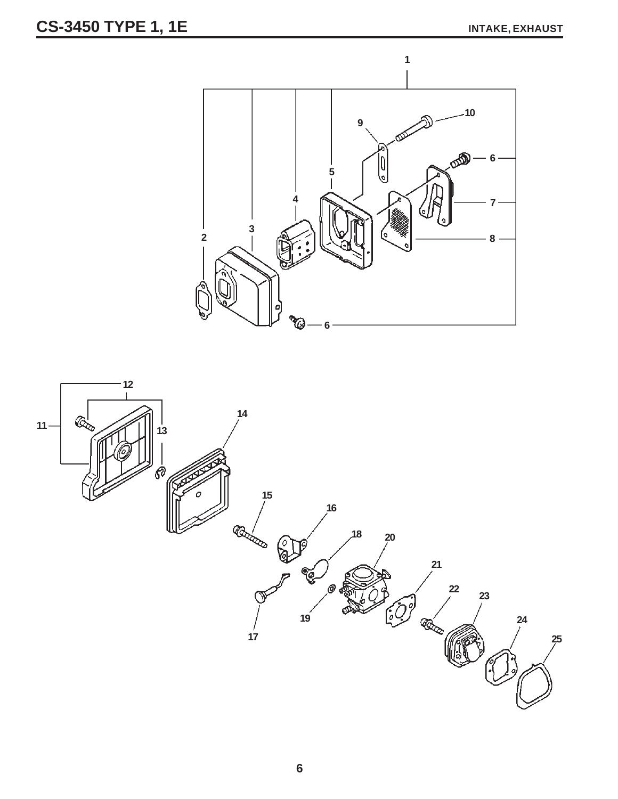# **CS-3450 TYPE 1, 1E** INTAKE, EXHAUST



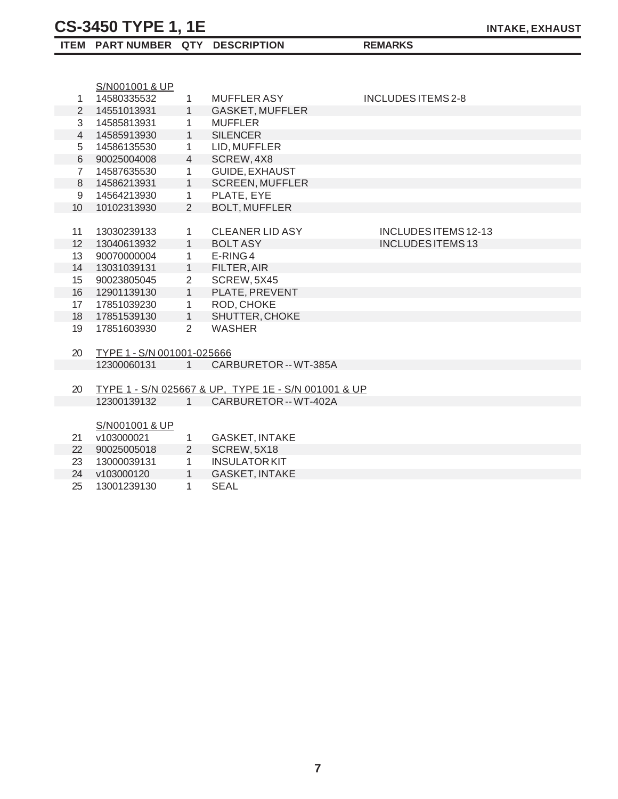**ITEM PART NUMBER QTY DESCRIPTION REMARKS**

|                | S/N001001 & UP             |                |                                                     |                           |
|----------------|----------------------------|----------------|-----------------------------------------------------|---------------------------|
| 1              | 14580335532                | $\mathbf{1}$   | MUFFLER ASY                                         | <b>INCLUDES ITEMS 2-8</b> |
| $\overline{2}$ | 14551013931                | 1              | GASKET, MUFFLER                                     |                           |
| 3              | 14585813931                | $\mathbf{1}$   | <b>MUFFLER</b>                                      |                           |
| 4              | 14585913930                | $\mathbf{1}$   | <b>SILENCER</b>                                     |                           |
| 5              | 14586135530                | $\mathbf{1}$   | LID, MUFFLER                                        |                           |
| 6              | 90025004008                | $\overline{4}$ | SCREW, 4X8                                          |                           |
| $\overline{7}$ | 14587635530                | $\mathbf{1}$   | GUIDE, EXHAUST                                      |                           |
| 8              | 14586213931                | $\mathbf{1}$   | <b>SCREEN, MUFFLER</b>                              |                           |
| 9              | 14564213930                | $\mathbf{1}$   | PLATE, EYE                                          |                           |
| 10             | 10102313930                | $\overline{2}$ | <b>BOLT, MUFFLER</b>                                |                           |
|                |                            |                |                                                     |                           |
| 11             | 13030239133                | $\mathbf{1}$   | <b>CLEANER LID ASY</b>                              | INCLUDES ITEMS 12-13      |
| 12             | 13040613932                | $\mathbf{1}$   | <b>BOLT ASY</b>                                     | <b>INCLUDES ITEMS 13</b>  |
| 13             | 90070000004                | $\mathbf{1}$   | E-RING4                                             |                           |
| 14             | 13031039131                | 1              | FILTER, AIR                                         |                           |
| 15             | 90023805045                | $\overline{2}$ | SCREW, 5X45                                         |                           |
| 16             | 12901139130                | 1              | PLATE, PREVENT                                      |                           |
| 17             | 17851039230                | $\mathbf{1}$   | ROD, CHOKE                                          |                           |
| 18             | 17851539130                | $\mathbf{1}$   | SHUTTER, CHOKE                                      |                           |
| 19             | 17851603930                | $\overline{2}$ | <b>WASHER</b>                                       |                           |
|                |                            |                |                                                     |                           |
| 20             | TYPE 1 - S/N 001001-025666 |                |                                                     |                           |
|                | 12300060131                | $1 \quad$      | CARBURETOR -- WT-385A                               |                           |
|                |                            |                |                                                     |                           |
| 20             |                            |                | TYPE 1 - S/N 025667 & UP, TYPE 1E - S/N 001001 & UP |                           |
|                | 12300139132                | 1              | CARBURETOR -- WT-402A                               |                           |
|                |                            |                |                                                     |                           |
|                | S/N001001 & UP             |                |                                                     |                           |
| 21             | v103000021                 | $\mathbf{1}$   | <b>GASKET, INTAKE</b>                               |                           |
| 22             | 90025005018                | $2^{\circ}$    | SCREW, 5X18                                         |                           |
| 23             | 13000039131                | $\mathbf{1}$   | <b>INSULATOR KIT</b>                                |                           |
| 24             | v103000120                 | $\mathbf{1}$   | <b>GASKET, INTAKE</b>                               |                           |

25 13001239130 1 SEAL

**7**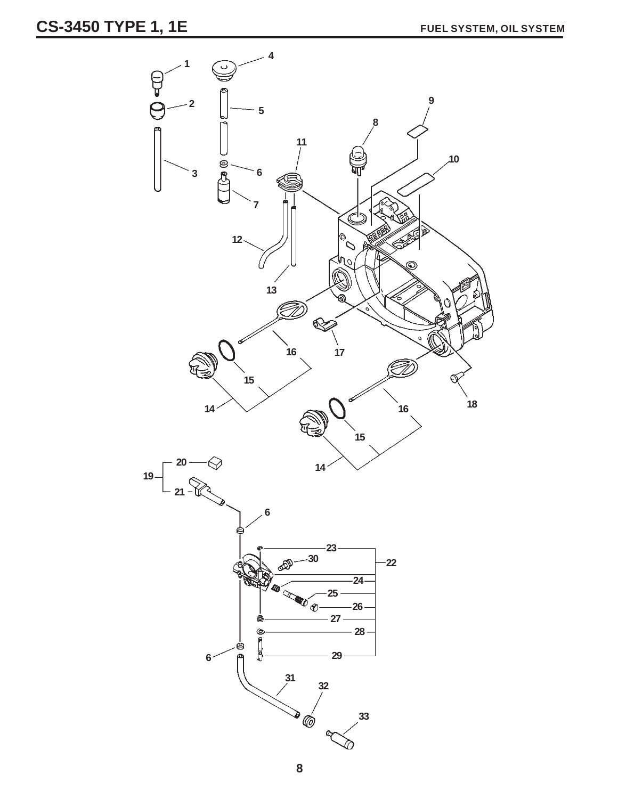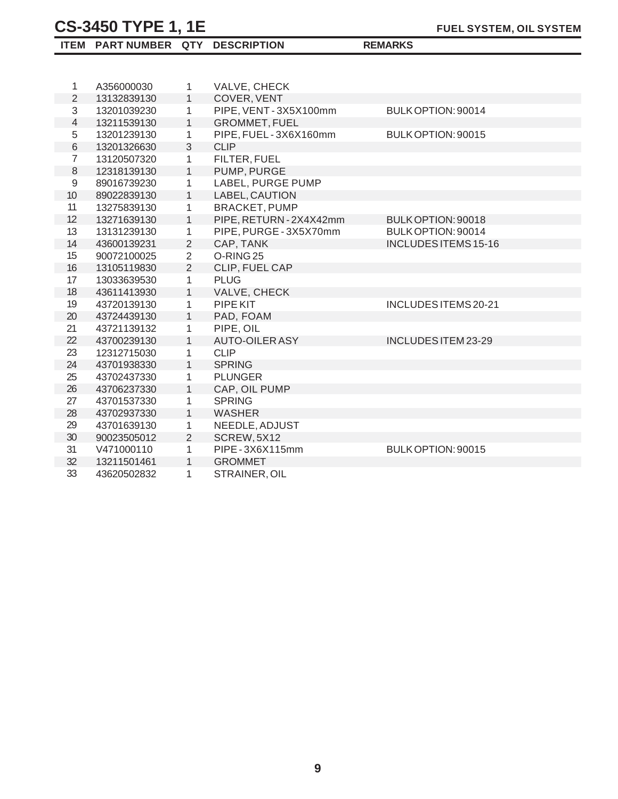| ITEM PART NUMBER QTY DESCRIPTION |  |
|----------------------------------|--|
|                                  |  |

| 1                | A356000030  | 1              | VALVE, CHECK           |                             |
|------------------|-------------|----------------|------------------------|-----------------------------|
| $\overline{2}$   | 13132839130 | $\mathbf{1}$   | COVER, VENT            |                             |
| 3                | 13201039230 |                | PIPE, VENT-3X5X100mm   | BULK OPTION: 90014          |
|                  |             | $\mathbf{1}$   |                        |                             |
| $\overline{4}$   | 13211539130 | $\mathbf{1}$   | <b>GROMMET, FUEL</b>   |                             |
| 5                | 13201239130 | $\mathbf{1}$   | PIPE, FUEL-3X6X160mm   | BULK OPTION: 90015          |
| 6                | 13201326630 | $\mathfrak{S}$ | <b>CLIP</b>            |                             |
| $\overline{7}$   | 13120507320 | $\mathbf{1}$   | FILTER, FUEL           |                             |
| 8                | 12318139130 | $\mathbf{1}$   | PUMP, PURGE            |                             |
| $\boldsymbol{9}$ | 89016739230 | $\mathbf{1}$   | LABEL, PURGE PUMP      |                             |
| 10               | 89022839130 | $\mathbf{1}$   | LABEL, CAUTION         |                             |
| 11               | 13275839130 | 1              | <b>BRACKET, PUMP</b>   |                             |
| 12               | 13271639130 | $\mathbf{1}$   | PIPE, RETURN-2X4X42mm  | BULK OPTION: 90018          |
| 13               | 13131239130 | $\mathbf{1}$   | PIPE, PURGE - 3X5X70mm | BULK OPTION: 90014          |
| 14               | 43600139231 | $\mathbf{2}$   | CAP, TANK              | <b>INCLUDES ITEMS 15-16</b> |
| 15               | 90072100025 | $\overline{2}$ | O-RING <sub>25</sub>   |                             |
| 16               | 13105119830 | $\overline{2}$ | CLIP, FUEL CAP         |                             |
| 17               | 13033639530 | $\mathbf{1}$   | <b>PLUG</b>            |                             |
| 18               | 43611413930 | $\mathbf{1}$   | VALVE, CHECK           |                             |
| 19               | 43720139130 | 1              | PIPE KIT               | <b>INCLUDES ITEMS 20-21</b> |
| 20               | 43724439130 | $\mathbf{1}$   | PAD, FOAM              |                             |
| 21               | 43721139132 | $\mathbf{1}$   | PIPE, OIL              |                             |
| 22               | 43700239130 | $\mathbf{1}$   | <b>AUTO-OILER ASY</b>  | INCLUDES ITEM 23-29         |
| 23               | 12312715030 | $\mathbf{1}$   | <b>CLIP</b>            |                             |
| 24               | 43701938330 | $\mathbf{1}$   | <b>SPRING</b>          |                             |
| 25               | 43702437330 | $\mathbf{1}$   | <b>PLUNGER</b>         |                             |
| 26               | 43706237330 | $\mathbf{1}$   | CAP, OIL PUMP          |                             |
| 27               | 43701537330 | $\mathbf{1}$   | <b>SPRING</b>          |                             |
| 28               | 43702937330 | $\mathbf{1}$   | <b>WASHER</b>          |                             |
| 29               | 43701639130 | 1              | NEEDLE, ADJUST         |                             |
| 30               | 90023505012 | $\overline{2}$ | SCREW, 5X12            |                             |
| 31               | V471000110  | 1              | PIPE-3X6X115mm         | BULK OPTION: 90015          |
| 32               |             |                |                        |                             |
|                  | 13211501461 | $\mathbf{1}$   | <b>GROMMET</b>         |                             |

 $REMARKS$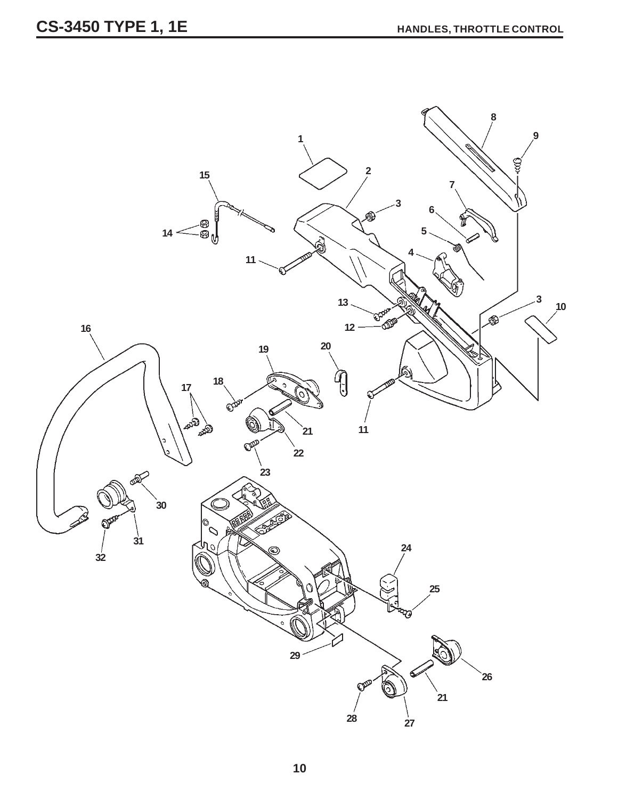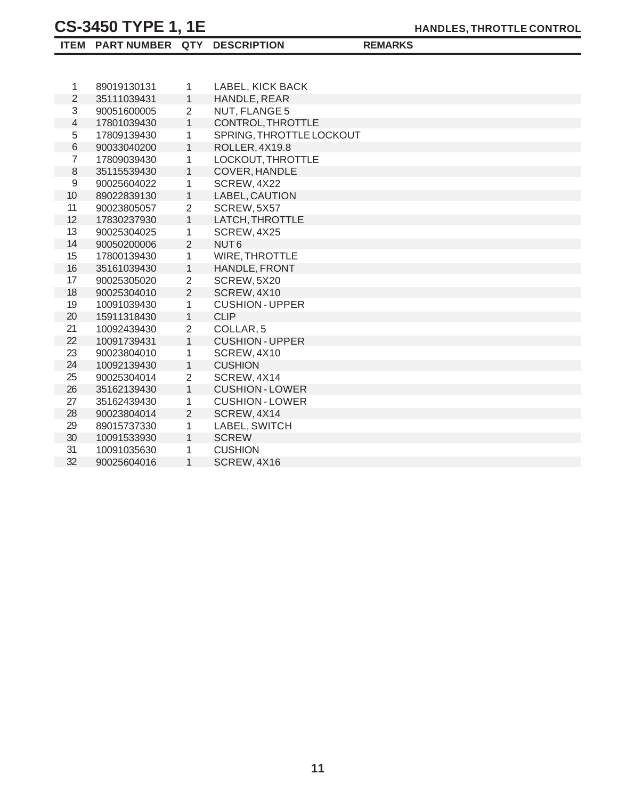| ITEM PART NUMBER QTY DESCRIPTION |  |
|----------------------------------|--|
|----------------------------------|--|

| <b>REMARKS</b> |  |
|----------------|--|

| 1              | 89019130131 | 1              | LABEL, KICK BACK         |
|----------------|-------------|----------------|--------------------------|
| $\overline{2}$ | 35111039431 | $\mathbf{1}$   | HANDLE, REAR             |
| 3              | 90051600005 | 2              | NUT, FLANGE 5            |
| $\overline{4}$ | 17801039430 | $\mathbf{1}$   | CONTROL, THROTTLE        |
| $\mathbf 5$    | 17809139430 | $\mathbf{1}$   | SPRING, THROTTLE LOCKOUT |
| $6\,$          | 90033040200 | 1              | ROLLER, 4X19.8           |
| $\overline{7}$ | 17809039430 | $\mathbf{1}$   | LOCKOUT, THROTTLE        |
| $\,8\,$        | 35115539430 | $\mathbf{1}$   | COVER, HANDLE            |
| $\mathsf g$    | 90025604022 | $\mathbf{1}$   | SCREW, 4X22              |
| 10             | 89022839130 | $\mathbf{1}$   | LABEL, CAUTION           |
| 11             | 90023805057 | $\overline{2}$ | SCREW, 5X57              |
| 12             | 17830237930 | $\mathbf{1}$   | LATCH, THROTTLE          |
| 13             | 90025304025 | $\mathbf{1}$   | SCREW, 4X25              |
| 14             | 90050200006 | $\overline{2}$ | NUT <sub>6</sub>         |
| 15             | 17800139430 | 1              | <b>WIRE, THROTTLE</b>    |
| 16             | 35161039430 | $\mathbf{1}$   | HANDLE, FRONT            |
| 17             | 90025305020 | $\overline{2}$ | SCREW, 5X20              |
| 18             | 90025304010 | 2              | SCREW, 4X10              |
| 19             | 10091039430 | $\mathbf{1}$   | <b>CUSHION - UPPER</b>   |
| 20             | 15911318430 | $\mathbf{1}$   | <b>CLIP</b>              |
| 21             | 10092439430 | $\overline{2}$ | COLLAR <sub>.5</sub>     |
| 22             | 10091739431 | $\mathbf{1}$   | <b>CUSHION - UPPER</b>   |
| 23             | 90023804010 | $\mathbf{1}$   | SCREW, 4X10              |
| 24             | 10092139430 | $\mathbf{1}$   | <b>CUSHION</b>           |
| 25             | 90025304014 | $\overline{2}$ | SCREW, 4X14              |
| 26             | 35162139430 | $\mathbf{1}$   | <b>CUSHION-LOWER</b>     |
| 27             | 35162439430 | $\mathbf{1}$   | <b>CUSHION - LOWER</b>   |
| 28             | 90023804014 | 2              | SCREW, 4X14              |
| 29             | 89015737330 | $\mathbf{1}$   | LABEL, SWITCH            |
| 30             | 10091533930 | $\mathbf{1}$   | <b>SCREW</b>             |
| 31             | 10091035630 | 1              | <b>CUSHION</b>           |
| 32             | 90025604016 | $\mathbf{1}$   | SCREW, 4X16              |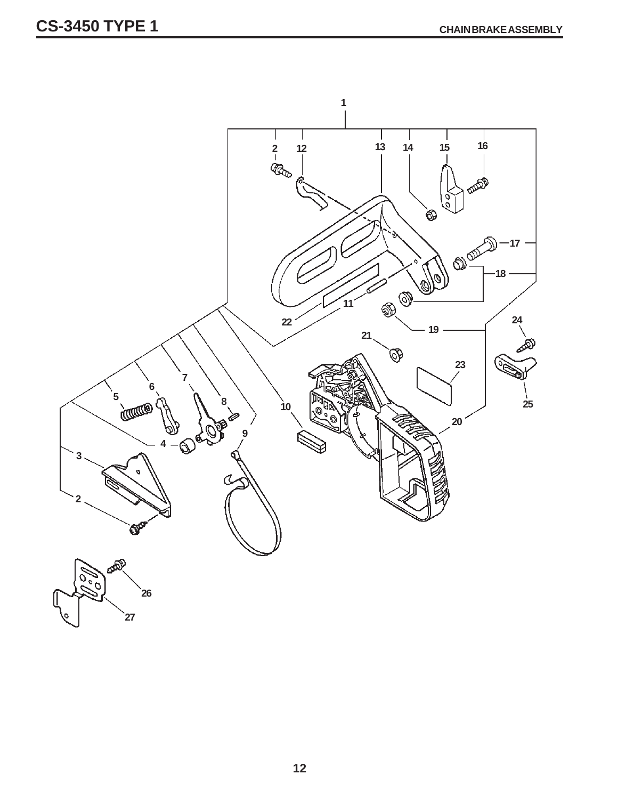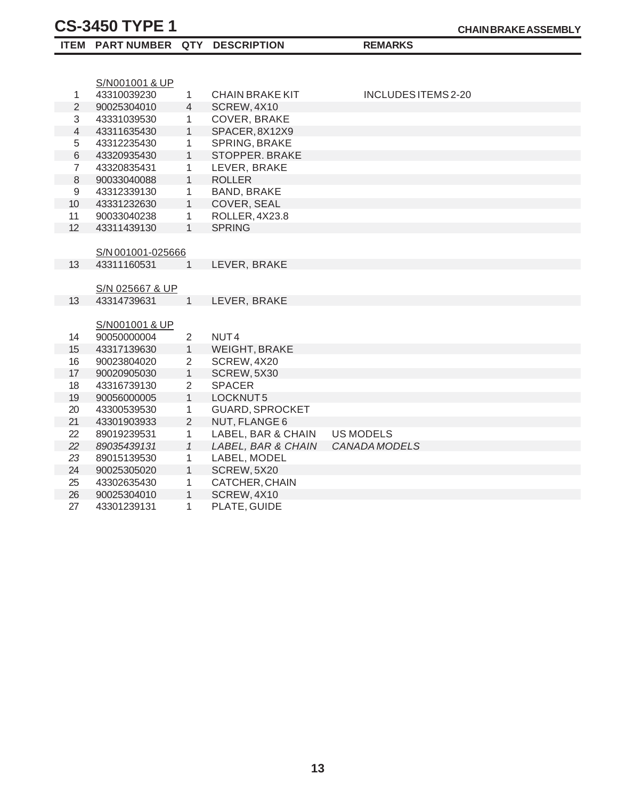|                | ITEM PART NUMBER QTY DESCRIPTION |                |                        | <b>REMARKS</b>      |
|----------------|----------------------------------|----------------|------------------------|---------------------|
|                |                                  |                |                        |                     |
|                |                                  |                |                        |                     |
|                | S/N001001 & UP                   |                |                        |                     |
| 1              | 43310039230                      | 1              | <b>CHAIN BRAKE KIT</b> | INCLUDES ITEMS 2-20 |
| $\overline{2}$ | 90025304010                      | $\overline{4}$ | SCREW, 4X10            |                     |
| 3              | 43331039530                      | $\mathbf{1}$   | COVER, BRAKE           |                     |
| $\overline{4}$ | 43311635430                      | $\mathbf{1}$   | SPACER, 8X12X9         |                     |
| 5              | 43312235430                      | 1              | SPRING, BRAKE          |                     |
| 6              | 43320935430                      | $\mathbf{1}$   | STOPPER. BRAKE         |                     |
| $\overline{7}$ | 43320835431                      | 1              | LEVER, BRAKE           |                     |
| 8              | 90033040088                      | $\mathbf{1}$   | <b>ROLLER</b>          |                     |
| $\mathsf g$    | 43312339130                      | 1              | <b>BAND, BRAKE</b>     |                     |
| 10             | 43331232630                      | $\mathbf{1}$   | COVER, SEAL            |                     |
| 11             | 90033040238                      | 1              | ROLLER, 4X23.8         |                     |
| 12             | 43311439130                      | $\mathbf{1}$   | <b>SPRING</b>          |                     |
|                |                                  |                |                        |                     |
|                | S/N 001001-025666                |                |                        |                     |
| 13             | 43311160531                      | 1              | LEVER, BRAKE           |                     |
|                |                                  |                |                        |                     |
|                | S/N 025667 & UP                  |                |                        |                     |
| 13             | 43314739631                      | 1              | LEVER, BRAKE           |                     |
|                |                                  |                |                        |                     |
|                | S/N001001 & UP                   |                |                        |                     |
| 14             | 90050000004                      | $\overline{2}$ | NUT4                   |                     |
| 15             | 43317139630                      | $\mathbf{1}$   | <b>WEIGHT, BRAKE</b>   |                     |
| 16             | 90023804020                      | $\overline{2}$ | SCREW, 4X20            |                     |
| 17             | 90020905030                      | $\mathbf{1}$   | SCREW, 5X30            |                     |
| 18             | 43316739130                      | $\overline{2}$ | <b>SPACER</b>          |                     |
| 19             | 90056000005                      | $\mathbf{1}$   | LOCKNUT5               |                     |
| 20             | 43300539530                      | 1              | <b>GUARD, SPROCKET</b> |                     |
| 21             | 43301903933                      | 2              | NUT, FLANGE 6          |                     |
| 22             | 89019239531                      | $\mathbf{1}$   | LABEL, BAR & CHAIN     | <b>US MODELS</b>    |
| 22             | 89035439131                      | $\mathcal{I}$  | LABEL, BAR & CHAIN     | CANADA MODELS       |
| 23             | 89015139530                      | 1              | LABEL, MODEL           |                     |
| 24             | 90025305020                      | $\mathbf{1}$   | SCREW, 5X20            |                     |
| 25             | 43302635430                      | 1              | CATCHER, CHAIN         |                     |
| 26             | 90025304010                      | $\mathbf{1}$   | SCREW, 4X10            |                     |
| 27             | 43301239131                      | 1              | PLATE, GUIDE           |                     |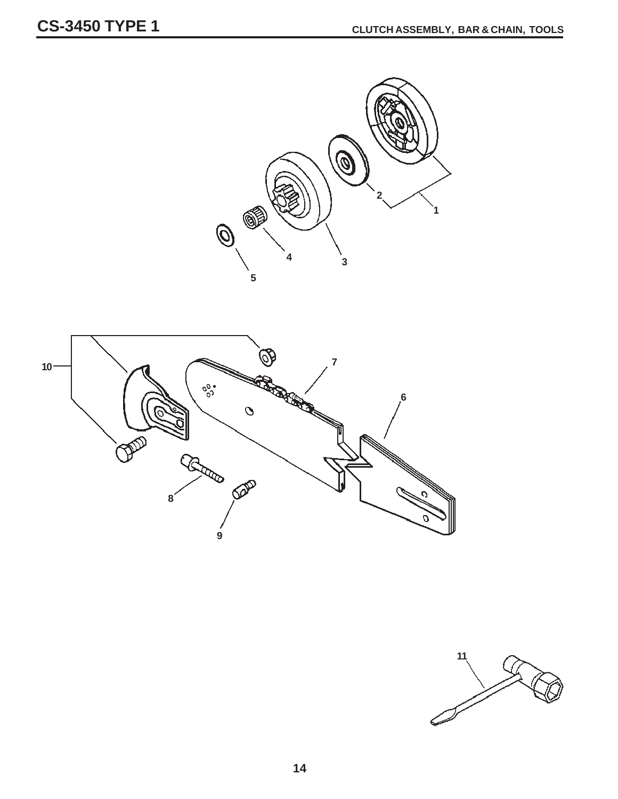

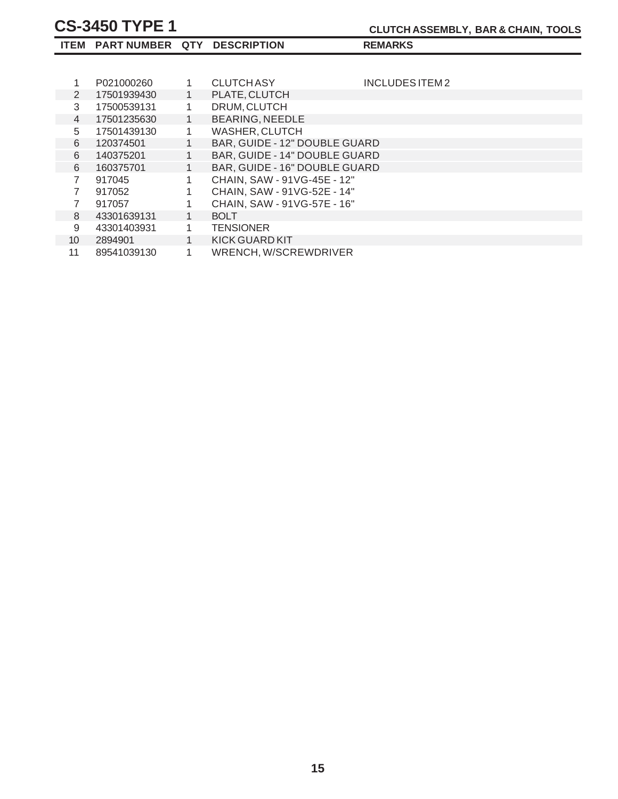|    | ITEM PART NUMBER QTY DESCRIPTION |              |                               | <b>REMARKS</b>  |
|----|----------------------------------|--------------|-------------------------------|-----------------|
|    |                                  |              |                               |                 |
|    | P021000260                       |              | CLUTCH ASY                    | INCLUDES ITEM 2 |
| 2  | 17501939430                      |              | PLATE, CLUTCH                 |                 |
| 3  | 17500539131                      |              | DRUM, CLUTCH                  |                 |
| 4  | 17501235630                      |              | <b>BEARING, NEEDLE</b>        |                 |
| 5  | 17501439130                      |              | WASHER, CLUTCH                |                 |
| 6  | 120374501                        |              | BAR, GUIDE - 12" DOUBLE GUARD |                 |
| 6  | 140375201                        |              | BAR, GUIDE - 14" DOUBLE GUARD |                 |
| 6  | 160375701                        |              | BAR, GUIDE - 16" DOUBLE GUARD |                 |
| 7  | 917045                           |              | CHAIN, SAW - 91VG-45E - 12"   |                 |
|    | 917052                           |              | CHAIN, SAW - 91VG-52E - 14"   |                 |
| 7  | 917057                           |              | CHAIN, SAW - 91VG-57E - 16"   |                 |
| 8  | 43301639131                      | 1            | <b>BOLT</b>                   |                 |
| 9  | 43301403931                      | $\mathbf{1}$ | <b>TENSIONER</b>              |                 |
| 10 | 2894901                          | 1            | KICK GUARD KIT                |                 |
| 11 | 89541039130                      | 1            | WRENCH, W/SCREWDRIVER         |                 |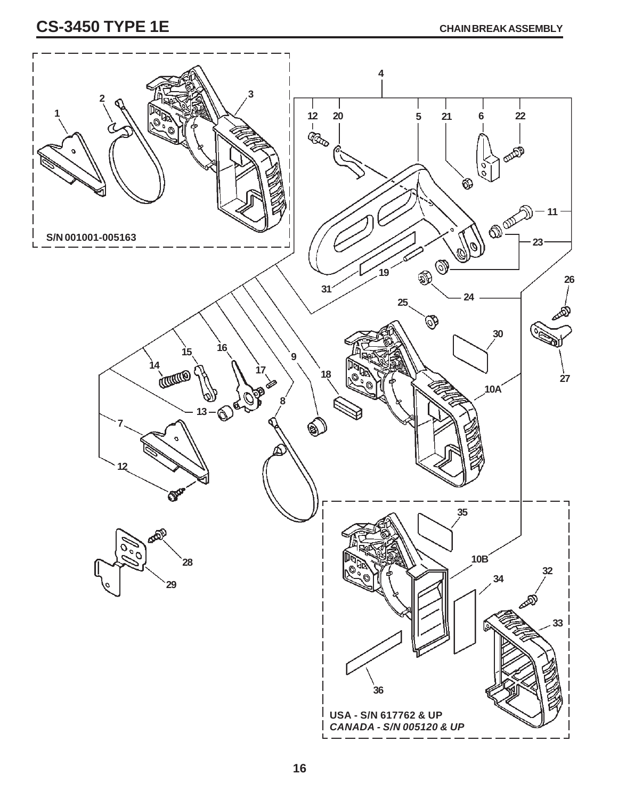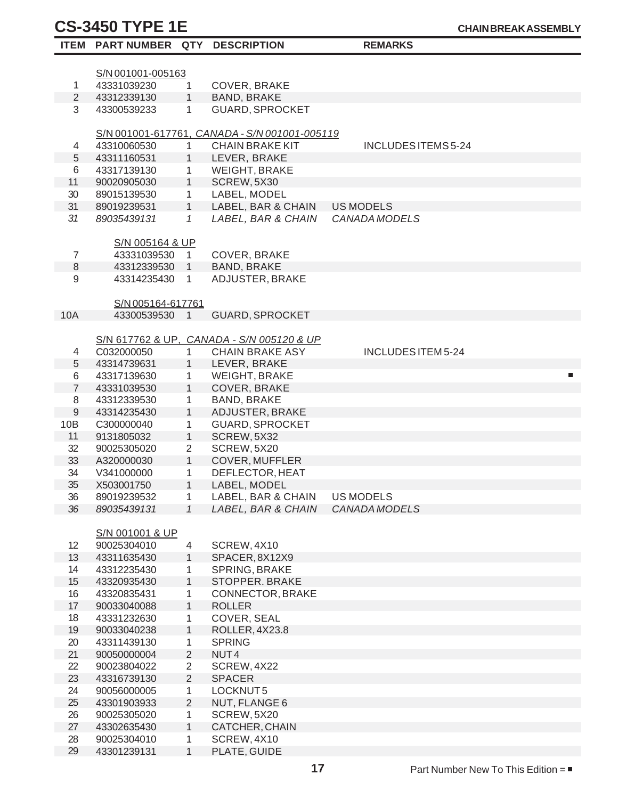29

43301239131 1 PLATE, GUIDE

|                 | ITEM PART NUMBER QTY DESCRIPTION |                |                                               | <b>REMARKS</b>      |   |
|-----------------|----------------------------------|----------------|-----------------------------------------------|---------------------|---|
|                 |                                  |                |                                               |                     |   |
|                 | S/N 001001-005163                |                |                                               |                     |   |
| $\mathbf{1}$    | 43331039230                      | $\mathbf{1}$   | COVER, BRAKE                                  |                     |   |
| $\overline{2}$  | 43312339130                      | $\mathbf{1}$   | <b>BAND, BRAKE</b>                            |                     |   |
| 3               | 43300539233                      | $\mathbf{1}$   | <b>GUARD, SPROCKET</b>                        |                     |   |
|                 |                                  |                |                                               |                     |   |
|                 |                                  |                | S/N 001001-617761, CANADA - S/N 001001-005119 |                     |   |
| 4               | 43310060530                      | $\mathbf{1}$   | <b>CHAIN BRAKE KIT</b>                        | INCLUDES ITEMS 5-24 |   |
| $\sqrt{5}$      | 43311160531                      | 1              | LEVER, BRAKE                                  |                     |   |
| 6               | 43317139130                      | $\mathbf{1}$   | WEIGHT, BRAKE                                 |                     |   |
| 11              | 90020905030                      | 1              | SCREW, 5X30                                   |                     |   |
| 30              | 89015139530                      | $\mathbf{1}$   | LABEL, MODEL                                  |                     |   |
| 31              | 89019239531                      | 1              | LABEL, BAR & CHAIN                            | US MODELS           |   |
| 31              | 89035439131                      | 1              | LABEL, BAR & CHAIN                            | CANADA MODELS       |   |
|                 |                                  |                |                                               |                     |   |
|                 | S/N 005164 & UP                  |                |                                               |                     |   |
| $\overline{7}$  | 43331039530 1                    |                | COVER, BRAKE                                  |                     |   |
| $\,8\,$         | 43312339530 1                    |                | <b>BAND, BRAKE</b>                            |                     |   |
| 9               | 43314235430                      | $\mathbf{1}$   | ADJUSTER, BRAKE                               |                     |   |
|                 |                                  |                |                                               |                     |   |
|                 | S/N 005164-617761                |                |                                               |                     |   |
| 10A             | 43300539530                      | $\mathbf 1$    | <b>GUARD, SPROCKET</b>                        |                     |   |
|                 |                                  |                |                                               |                     |   |
|                 |                                  |                | S/N 617762 & UP, CANADA - S/N 005120 & UP     |                     |   |
| 4               | C032000050                       | $\mathbf{1}$   | <b>CHAIN BRAKE ASY</b>                        | INCLUDES ITEM 5-24  |   |
| 5               | 43314739631                      | 1              | LEVER, BRAKE                                  |                     |   |
| 6               | 43317139630                      | 1              | WEIGHT, BRAKE                                 |                     | п |
| $\overline{7}$  | 43331039530                      | $\mathbf{1}$   | COVER, BRAKE                                  |                     |   |
| 8               | 43312339530                      | $\mathbf{1}$   | <b>BAND, BRAKE</b>                            |                     |   |
| $9\phantom{.0}$ | 43314235430                      | $\mathbf{1}$   | ADJUSTER, BRAKE                               |                     |   |
| 10B             | C300000040                       | $\mathbf{1}$   | <b>GUARD, SPROCKET</b>                        |                     |   |
| 11              | 9131805032                       | $\mathbf{1}$   | SCREW, 5X32                                   |                     |   |
| 32              | 90025305020                      | $\overline{2}$ | SCREW, 5X20                                   |                     |   |
| 33              | A320000030                       | $\mathbf{1}$   | COVER, MUFFLER                                |                     |   |
| 34              | V341000000                       | $\mathbf{1}$   | DEFLECTOR, HEAT                               |                     |   |
| 35              | X503001750                       | $\mathbf{1}$   | LABEL, MODEL                                  |                     |   |
| 36              | 89019239532                      | 1              | LABEL, BAR & CHAIN                            | <b>US MODELS</b>    |   |
| 36              | 89035439131                      | $\mathcal I$   | LABEL, BAR & CHAIN                            | CANADA MODELS       |   |
|                 |                                  |                |                                               |                     |   |
|                 | S/N 001001 & UP                  |                |                                               |                     |   |
| 12              | 90025304010                      | $\overline{4}$ | SCREW, 4X10                                   |                     |   |
| 13              | 43311635430                      | 1              | SPACER, 8X12X9                                |                     |   |
| 14              | 43312235430                      | 1              | SPRING, BRAKE                                 |                     |   |
| 15              | 43320935430                      | 1              | STOPPER. BRAKE                                |                     |   |
| 16              | 43320835431                      | 1              | CONNECTOR, BRAKE                              |                     |   |
| 17              | 90033040088                      | $\mathbf{1}$   | <b>ROLLER</b>                                 |                     |   |
| 18              | 43331232630                      | 1              | COVER, SEAL                                   |                     |   |
| 19              | 90033040238                      | $\mathbf{1}$   | ROLLER, 4X23.8                                |                     |   |
| 20              | 43311439130                      | 1              | <b>SPRING</b>                                 |                     |   |
| 21              | 90050000004                      | $\overline{2}$ | NUT <sub>4</sub>                              |                     |   |
| 22              | 90023804022                      | $\overline{2}$ | SCREW, 4X22                                   |                     |   |
| 23              | 43316739130                      | $\overline{2}$ | <b>SPACER</b>                                 |                     |   |
| 24              | 90056000005                      | $\mathbf{1}$   | LOCKNUT5                                      |                     |   |
| 25              | 43301903933                      | $\overline{2}$ | NUT, FLANGE 6                                 |                     |   |
| 26              | 90025305020                      | 1              | SCREW, 5X20                                   |                     |   |
| 27              | 43302635430                      | $\mathbf{1}$   | CATCHER, CHAIN                                |                     |   |
| 28              | 90025304010                      | 1              | SCREW, 4X10                                   |                     |   |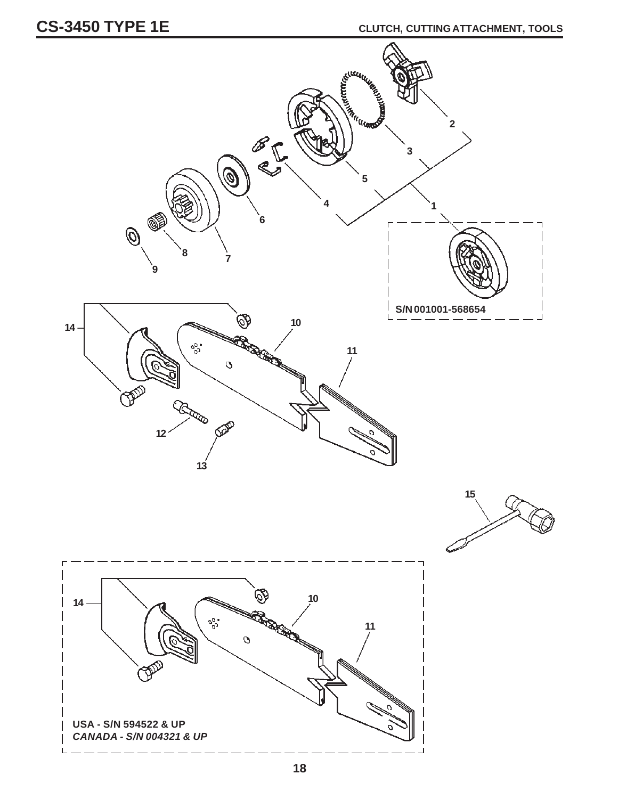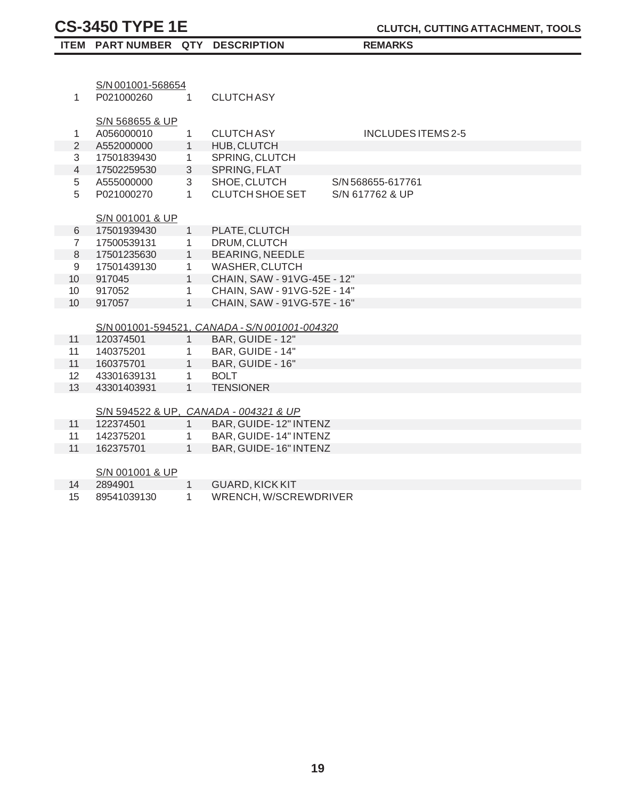| S/N 001001-568654<br>P021000260<br><b>CLUTCHASY</b><br>1<br>$\mathbf{1}$<br>S/N 568655 & UP<br>A056000010<br>$\mathbf{1}$<br><b>CLUTCH ASY</b><br>INCLUDES ITEMS 2-5<br>1<br>$\overline{2}$<br>1<br>HUB, CLUTCH<br>A552000000<br>3<br>SPRING, CLUTCH<br>17501839430<br>$\mathbf{1}$<br>$\overline{4}$<br>$\mathfrak{S}$<br>SPRING, FLAT<br>17502259530<br>3<br>5<br>SHOE, CLUTCH<br>A555000000<br>S/N 568655-617761<br>5<br>$\mathbf{1}$<br><b>CLUTCH SHOE SET</b><br>S/N 617762 & UP<br>P021000270<br>S/N 001001 & UP<br>17501939430<br>$\mathbf{1}$<br>PLATE, CLUTCH<br>6<br>DRUM, CLUTCH<br>$\overline{7}$<br>17500539131<br>$\mathbf{1}$<br><b>BEARING, NEEDLE</b><br>8<br>17501235630<br>$\mathbf{1}$<br><b>WASHER, CLUTCH</b><br>9<br>17501439130<br>$\mathbf{1}$<br>$\mathbf{1}$<br>CHAIN, SAW - 91VG-45E - 12"<br>10 <sup>°</sup><br>917045<br>CHAIN, SAW - 91VG-52E - 14"<br>10 <sup>°</sup><br>917052<br>$\mathbf{1}$<br>$\mathbf{1}$<br>10<br>CHAIN, SAW - 91VG-57E - 16"<br>917057 | ITEM PART NUMBER QTY DESCRIPTION |  | <b>REMARKS</b> |  |
|------------------------------------------------------------------------------------------------------------------------------------------------------------------------------------------------------------------------------------------------------------------------------------------------------------------------------------------------------------------------------------------------------------------------------------------------------------------------------------------------------------------------------------------------------------------------------------------------------------------------------------------------------------------------------------------------------------------------------------------------------------------------------------------------------------------------------------------------------------------------------------------------------------------------------------------------------------------------------------------------|----------------------------------|--|----------------|--|
|                                                                                                                                                                                                                                                                                                                                                                                                                                                                                                                                                                                                                                                                                                                                                                                                                                                                                                                                                                                                |                                  |  |                |  |
|                                                                                                                                                                                                                                                                                                                                                                                                                                                                                                                                                                                                                                                                                                                                                                                                                                                                                                                                                                                                |                                  |  |                |  |
|                                                                                                                                                                                                                                                                                                                                                                                                                                                                                                                                                                                                                                                                                                                                                                                                                                                                                                                                                                                                |                                  |  |                |  |
|                                                                                                                                                                                                                                                                                                                                                                                                                                                                                                                                                                                                                                                                                                                                                                                                                                                                                                                                                                                                |                                  |  |                |  |
|                                                                                                                                                                                                                                                                                                                                                                                                                                                                                                                                                                                                                                                                                                                                                                                                                                                                                                                                                                                                |                                  |  |                |  |
|                                                                                                                                                                                                                                                                                                                                                                                                                                                                                                                                                                                                                                                                                                                                                                                                                                                                                                                                                                                                |                                  |  |                |  |
|                                                                                                                                                                                                                                                                                                                                                                                                                                                                                                                                                                                                                                                                                                                                                                                                                                                                                                                                                                                                |                                  |  |                |  |
|                                                                                                                                                                                                                                                                                                                                                                                                                                                                                                                                                                                                                                                                                                                                                                                                                                                                                                                                                                                                |                                  |  |                |  |
|                                                                                                                                                                                                                                                                                                                                                                                                                                                                                                                                                                                                                                                                                                                                                                                                                                                                                                                                                                                                |                                  |  |                |  |
|                                                                                                                                                                                                                                                                                                                                                                                                                                                                                                                                                                                                                                                                                                                                                                                                                                                                                                                                                                                                |                                  |  |                |  |
|                                                                                                                                                                                                                                                                                                                                                                                                                                                                                                                                                                                                                                                                                                                                                                                                                                                                                                                                                                                                |                                  |  |                |  |
|                                                                                                                                                                                                                                                                                                                                                                                                                                                                                                                                                                                                                                                                                                                                                                                                                                                                                                                                                                                                |                                  |  |                |  |
|                                                                                                                                                                                                                                                                                                                                                                                                                                                                                                                                                                                                                                                                                                                                                                                                                                                                                                                                                                                                |                                  |  |                |  |
|                                                                                                                                                                                                                                                                                                                                                                                                                                                                                                                                                                                                                                                                                                                                                                                                                                                                                                                                                                                                |                                  |  |                |  |
|                                                                                                                                                                                                                                                                                                                                                                                                                                                                                                                                                                                                                                                                                                                                                                                                                                                                                                                                                                                                |                                  |  |                |  |
|                                                                                                                                                                                                                                                                                                                                                                                                                                                                                                                                                                                                                                                                                                                                                                                                                                                                                                                                                                                                |                                  |  |                |  |
|                                                                                                                                                                                                                                                                                                                                                                                                                                                                                                                                                                                                                                                                                                                                                                                                                                                                                                                                                                                                |                                  |  |                |  |
|                                                                                                                                                                                                                                                                                                                                                                                                                                                                                                                                                                                                                                                                                                                                                                                                                                                                                                                                                                                                |                                  |  |                |  |
|                                                                                                                                                                                                                                                                                                                                                                                                                                                                                                                                                                                                                                                                                                                                                                                                                                                                                                                                                                                                |                                  |  |                |  |
|                                                                                                                                                                                                                                                                                                                                                                                                                                                                                                                                                                                                                                                                                                                                                                                                                                                                                                                                                                                                |                                  |  |                |  |
|                                                                                                                                                                                                                                                                                                                                                                                                                                                                                                                                                                                                                                                                                                                                                                                                                                                                                                                                                                                                |                                  |  |                |  |
| S/N 001001-594521, CANADA - S/N 001001-004320                                                                                                                                                                                                                                                                                                                                                                                                                                                                                                                                                                                                                                                                                                                                                                                                                                                                                                                                                  |                                  |  |                |  |
| BAR, GUIDE - 12"<br>$1 \quad$<br>11<br>120374501                                                                                                                                                                                                                                                                                                                                                                                                                                                                                                                                                                                                                                                                                                                                                                                                                                                                                                                                               |                                  |  |                |  |
| BAR, GUIDE - 14"<br>11<br>140375201<br>$\mathbf{1}$                                                                                                                                                                                                                                                                                                                                                                                                                                                                                                                                                                                                                                                                                                                                                                                                                                                                                                                                            |                                  |  |                |  |
| BAR, GUIDE - 16"<br>11<br>$\mathbf{1}$<br>160375701                                                                                                                                                                                                                                                                                                                                                                                                                                                                                                                                                                                                                                                                                                                                                                                                                                                                                                                                            |                                  |  |                |  |
| 12<br>$\mathbf{1}$<br><b>BOLT</b><br>43301639131                                                                                                                                                                                                                                                                                                                                                                                                                                                                                                                                                                                                                                                                                                                                                                                                                                                                                                                                               |                                  |  |                |  |
| 13<br>1<br>43301403931<br><b>TENSIONER</b>                                                                                                                                                                                                                                                                                                                                                                                                                                                                                                                                                                                                                                                                                                                                                                                                                                                                                                                                                     |                                  |  |                |  |
|                                                                                                                                                                                                                                                                                                                                                                                                                                                                                                                                                                                                                                                                                                                                                                                                                                                                                                                                                                                                |                                  |  |                |  |
| S/N 594522 & UP, CANADA - 004321 & UP<br>1                                                                                                                                                                                                                                                                                                                                                                                                                                                                                                                                                                                                                                                                                                                                                                                                                                                                                                                                                     |                                  |  |                |  |
| BAR, GUIDE-12" INTENZ<br>11<br>122374501<br>BAR, GUIDE-14" INTENZ<br>11<br>142375201<br>$\mathbf{1}$                                                                                                                                                                                                                                                                                                                                                                                                                                                                                                                                                                                                                                                                                                                                                                                                                                                                                           |                                  |  |                |  |
| 11<br>$\mathbf{1}$<br>BAR, GUIDE-16" INTENZ<br>162375701                                                                                                                                                                                                                                                                                                                                                                                                                                                                                                                                                                                                                                                                                                                                                                                                                                                                                                                                       |                                  |  |                |  |
|                                                                                                                                                                                                                                                                                                                                                                                                                                                                                                                                                                                                                                                                                                                                                                                                                                                                                                                                                                                                |                                  |  |                |  |
| S/N 001001 & UP                                                                                                                                                                                                                                                                                                                                                                                                                                                                                                                                                                                                                                                                                                                                                                                                                                                                                                                                                                                |                                  |  |                |  |
| $\mathbf{1}$<br>14<br>2894901<br><b>GUARD, KICK KIT</b>                                                                                                                                                                                                                                                                                                                                                                                                                                                                                                                                                                                                                                                                                                                                                                                                                                                                                                                                        |                                  |  |                |  |

15 89541039130 1 WRENCH, W/SCREWDRIVER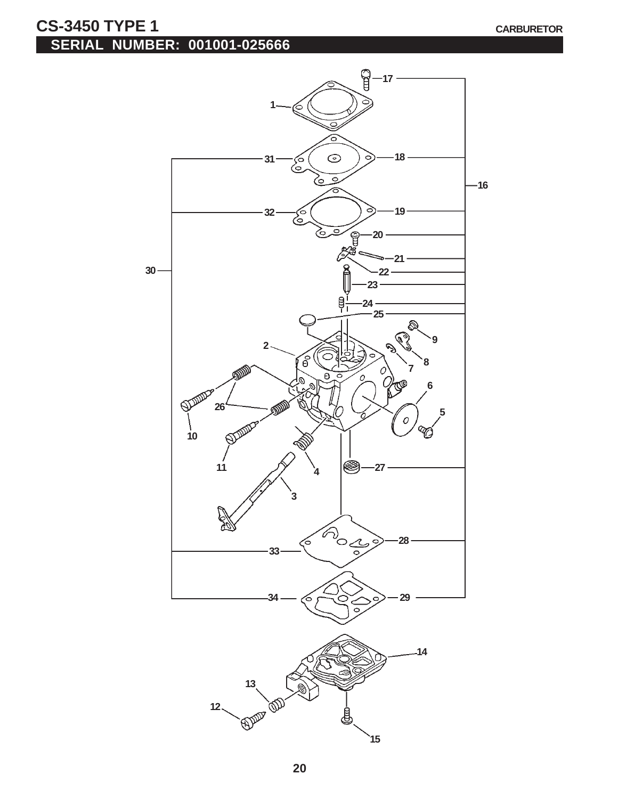### **CS-3450 TYPE 1** CARBURETOR **SERIAL NUMBER: 001001-025666**

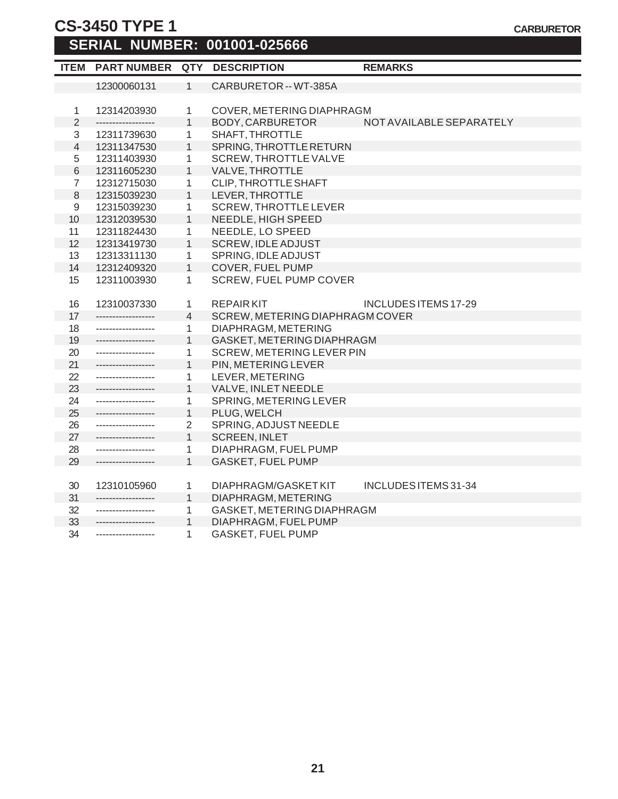# **CS-3450 TYPE 1**

#### **SERIAL NUMBER: 001001-025666**

| <b>ITEM</b>    | <b>PART NUMBER</b> | <b>QTY</b>     | <b>DESCRIPTION</b>              | <b>REMARKS</b>           |  |
|----------------|--------------------|----------------|---------------------------------|--------------------------|--|
|                | 12300060131        | $\mathbf{1}$   | CARBURETOR -- WT-385A           |                          |  |
|                |                    |                |                                 |                          |  |
| 1              | 12314203930        | 1              | COVER, METERING DIAPHRAGM       |                          |  |
| $\overline{2}$ | ------------------ | $\mathbf{1}$   | BODY, CARBURETOR                | NOT AVAILABLE SEPARATELY |  |
| 3              | 12311739630        | 1              | SHAFT, THROTTLE                 |                          |  |
| $\overline{4}$ | 12311347530        | $\mathbf{1}$   | SPRING, THROTTLE RETURN         |                          |  |
| 5              | 12311403930        | 1              | <b>SCREW, THROTTLE VALVE</b>    |                          |  |
| 6              | 12311605230        | $\mathbf{1}$   | VALVE, THROTTLE                 |                          |  |
| $\overline{7}$ | 12312715030        | 1              | CLIP, THROTTLE SHAFT            |                          |  |
| $\,8\,$        | 12315039230        | $\mathbf{1}$   | LEVER, THROTTLE                 |                          |  |
| 9              | 12315039230        | 1              | <b>SCREW, THROTTLE LEVER</b>    |                          |  |
| 10             | 12312039530        | $\mathbf{1}$   | NEEDLE, HIGH SPEED              |                          |  |
| 11             | 12311824430        | 1              | NEEDLE, LO SPEED                |                          |  |
| 12             | 12313419730        | $\mathbf{1}$   | <b>SCREW, IDLE ADJUST</b>       |                          |  |
| 13             | 12313311130        | 1              | SPRING, IDLE ADJUST             |                          |  |
| 14             | 12312409320        | $\mathbf{1}$   | <b>COVER, FUEL PUMP</b>         |                          |  |
| 15             | 12311003930        | 1              | <b>SCREW, FUEL PUMP COVER</b>   |                          |  |
|                |                    |                |                                 |                          |  |
| 16             | 12310037330        | 1              | <b>REPAIRKIT</b>                | INCLUDES ITEMS 17-29     |  |
| 17             | ------------------ | $\overline{4}$ | SCREW, METERING DIAPHRAGM COVER |                          |  |
| 18             | ------------------ | 1              | DIAPHRAGM, METERING             |                          |  |
| 19             | ------------------ | $\mathbf{1}$   | GASKET, METERING DIAPHRAGM      |                          |  |
| 20             | ------------------ | 1              | SCREW, METERING LEVER PIN       |                          |  |
| 21             | ------------------ | $\mathbf{1}$   | PIN, METERING LEVER             |                          |  |
| 22             | ------------------ | 1              | LEVER, METERING                 |                          |  |
| 23             | ------------------ | $\mathbf{1}$   | VALVE, INLET NEEDLE             |                          |  |
| 24             | ------------------ | 1              | SPRING, METERING LEVER          |                          |  |
| 25             | ------------------ | $\mathbf{1}$   | PLUG, WELCH                     |                          |  |
| 26             | ------------------ | $\overline{2}$ | SPRING, ADJUST NEEDLE           |                          |  |
| 27             | ------------------ | $\mathbf{1}$   | <b>SCREEN, INLET</b>            |                          |  |
| 28             | ------------------ | 1              | DIAPHRAGM, FUEL PUMP            |                          |  |
| 29             | -----------------  | $\mathbf{1}$   | <b>GASKET, FUEL PUMP</b>        |                          |  |
|                |                    |                |                                 |                          |  |
| 30             | 12310105960        | 1              | DIAPHRAGM/GASKET KIT            | INCLUDES ITEMS 31-34     |  |
| 31             | ------------------ | 1              | DIAPHRAGM, METERING             |                          |  |
| 32             | ------------------ | 1              | GASKET, METERING DIAPHRAGM      |                          |  |
| 33             | ------------------ | 1              | DIAPHRAGM, FUEL PUMP            |                          |  |
| 34             | ------------------ | 1              | <b>GASKET, FUEL PUMP</b>        |                          |  |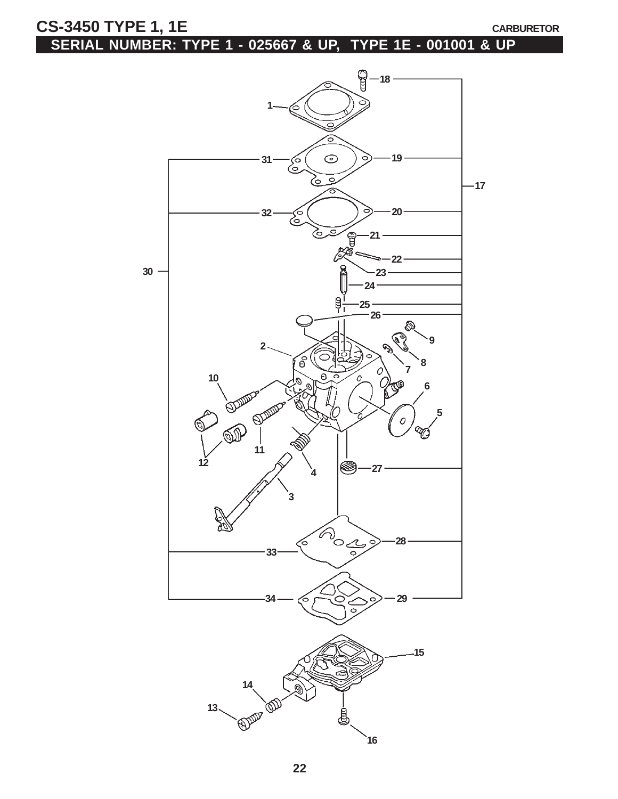CS-3450 TYPE 1, 1E

# **SERIAL NUMBER: TYPE 1 - 025667 & UP, TYPE 1E - 001001 & UP**